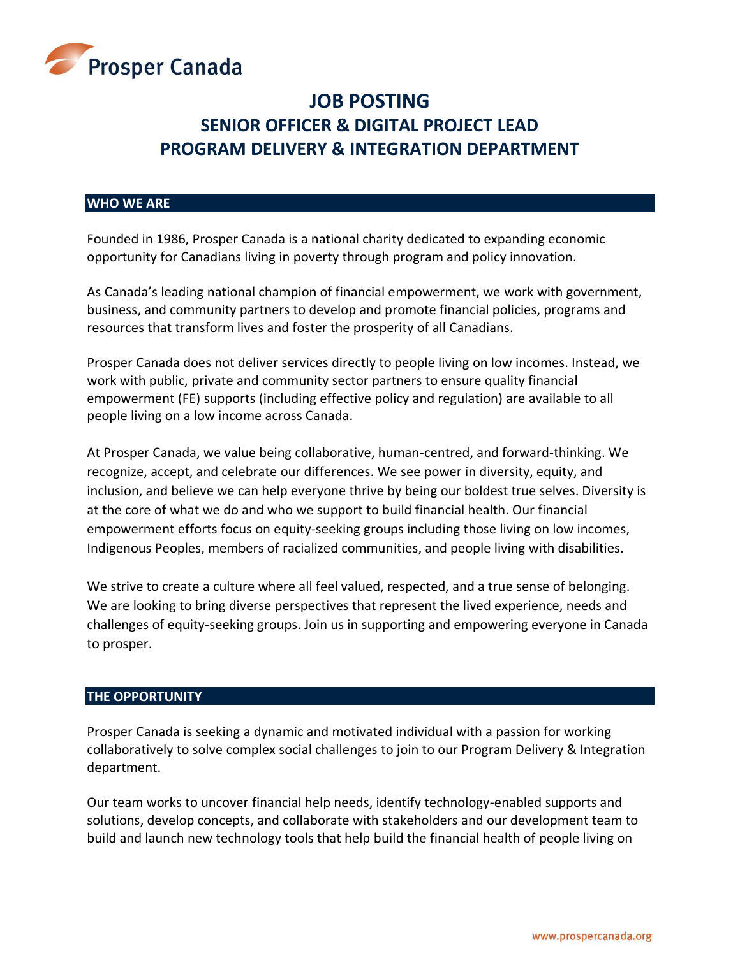

# **JOB POSTING SENIOR OFFICER & DIGITAL PROJECT LEAD PROGRAM DELIVERY & INTEGRATION DEPARTMENT**

#### **WHO WE ARE**

Founded in 1986, Prosper Canada is a national charity dedicated to expanding economic opportunity for Canadians living in poverty through program and policy innovation.

As Canada's leading national champion of financial empowerment, we work with government, business, and community partners to develop and promote financial policies, programs and resources that transform lives and foster the prosperity of all Canadians.

Prosper Canada does not deliver services directly to people living on low incomes. Instead, we work with public, private and community sector partners to ensure quality financial empowerment (FE) supports (including effective policy and regulation) are available to all people living on a low income across Canada.

At Prosper Canada, we value being collaborative, human-centred, and forward-thinking. We recognize, accept, and celebrate our differences. We see power in diversity, equity, and inclusion, and believe we can help everyone thrive by being our boldest true selves. Diversity is at the core of what we do and who we support to build financial health. Our financial empowerment efforts focus on equity-seeking groups including those living on low incomes, Indigenous Peoples, members of racialized communities, and people living with disabilities.

We strive to create a culture where all feel valued, respected, and a true sense of belonging. We are looking to bring diverse perspectives that represent the lived experience, needs and challenges of equity-seeking groups. Join us in supporting and empowering everyone in Canada to prosper.

#### **THE OPPORTUNITY**

Prosper Canada is seeking a dynamic and motivated individual with a passion for working collaboratively to solve complex social challenges to join to our Program Delivery & Integration department.

Our team works to uncover financial help needs, identify technology-enabled supports and solutions, develop concepts, and collaborate with stakeholders and our development team to build and launch new technology tools that help build the financial health of people living on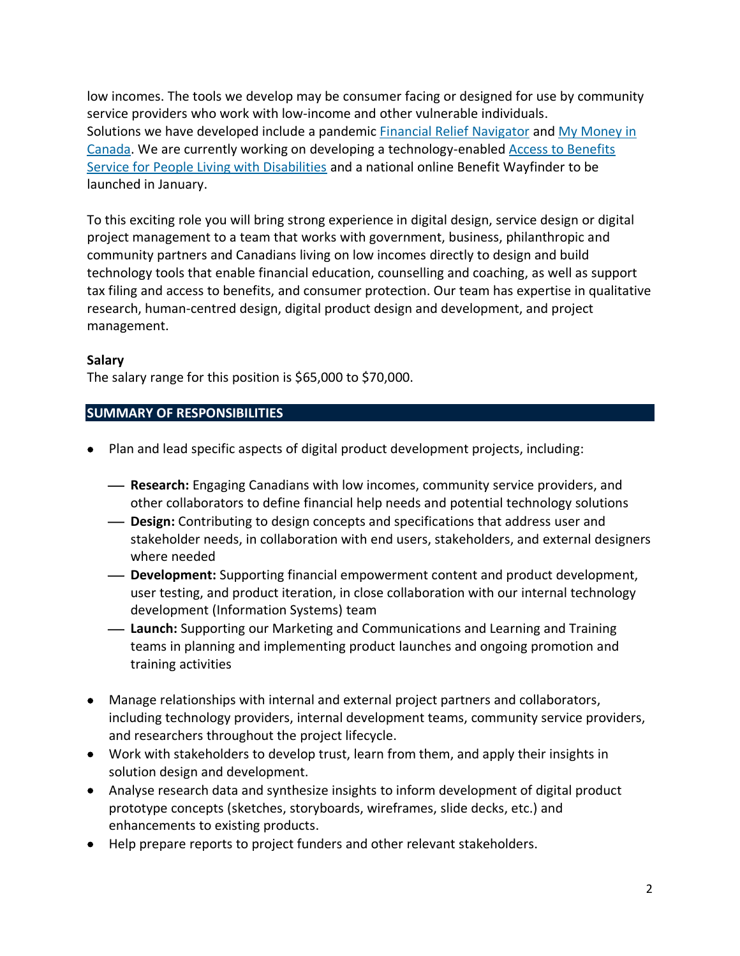low incomes. The tools we develop may be consumer facing or designed for use by community service providers who work with low-income and other vulnerable individuals. Solutions we have developed include a pandemic [Financial Relief Navigator](https://financialreliefnav.prospercanada.org/en) and [My Money in](https://moneymanagement.prospercanada.org/)  [Canada.](https://moneymanagement.prospercanada.org/) We are currently working on developing a technology-enabled [Access to Benefits](https://learninghub.prospercanada.org/knowledge/roadblocks-and-resilience/)  [Service for People Living with Disabilities](https://learninghub.prospercanada.org/knowledge/roadblocks-and-resilience/) and a national online Benefit Wayfinder to be launched in January.

To this exciting role you will bring strong experience in digital design, service design or digital project management to a team that works with government, business, philanthropic and community partners and Canadians living on low incomes directly to design and build technology tools that enable financial education, counselling and coaching, as well as support tax filing and access to benefits, and consumer protection. Our team has expertise in qualitative research, human-centred design, digital product design and development, and project management.

## **Salary**

The salary range for this position is \$65,000 to \$70,000.

## **SUMMARY OF RESPONSIBILITIES**

- Plan and lead specific aspects of digital product development projects, including:
	- ⎯ **Research:** Engaging Canadians with low incomes, community service providers, and other collaborators to define financial help needs and potential technology solutions
	- ⎯ **Design:** Contributing to design concepts and specifications that address user and stakeholder needs, in collaboration with end users, stakeholders, and external designers where needed
	- **Development:** Supporting financial empowerment content and product development, user testing, and product iteration, in close collaboration with our internal technology development (Information Systems) team
	- **Launch:** Supporting our Marketing and Communications and Learning and Training teams in planning and implementing product launches and ongoing promotion and training activities
- Manage relationships with internal and external project partners and collaborators, including technology providers, internal development teams, community service providers, and researchers throughout the project lifecycle.
- Work with stakeholders to develop trust, learn from them, and apply their insights in solution design and development.
- Analyse research data and synthesize insights to inform development of digital product prototype concepts (sketches, storyboards, wireframes, slide decks, etc.) and enhancements to existing products.
- Help prepare reports to project funders and other relevant stakeholders.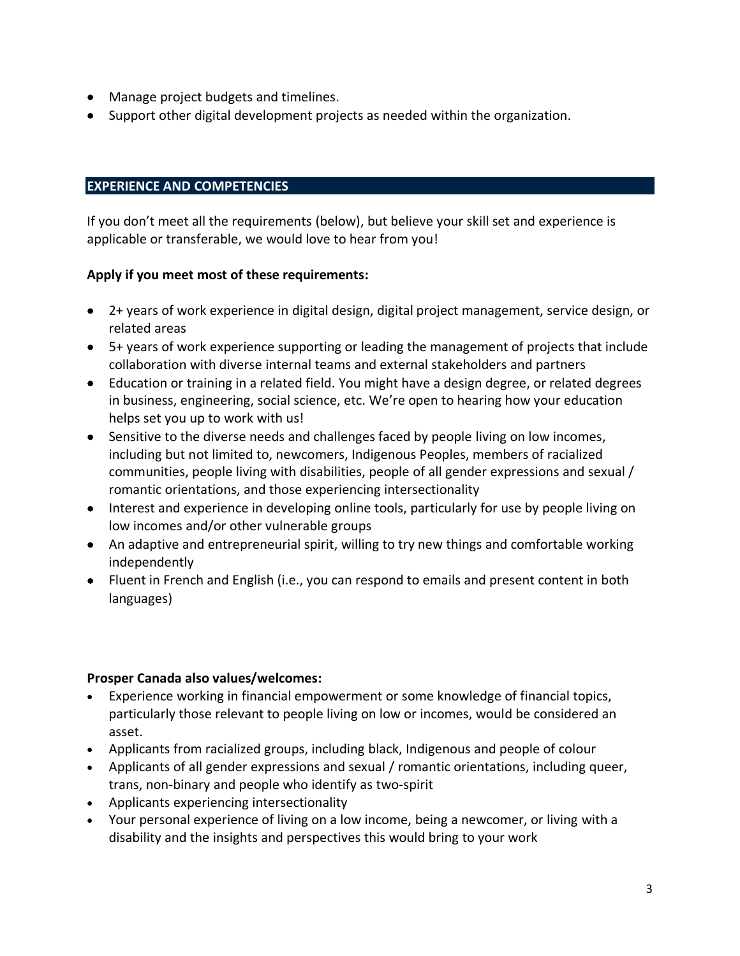- Manage project budgets and timelines.
- Support other digital development projects as needed within the organization.

## **EXPERIENCE AND COMPETENCIES**

If you don't meet all the requirements (below), but believe your skill set and experience is applicable or transferable, we would love to hear from you!

# **Apply if you meet most of these requirements:**

- 2+ years of work experience in digital design, digital project management, service design, or related areas
- 5+ years of work experience supporting or leading the management of projects that include collaboration with diverse internal teams and external stakeholders and partners
- Education or training in a related field. You might have a design degree, or related degrees in business, engineering, social science, etc. We're open to hearing how your education helps set you up to work with us!
- Sensitive to the diverse needs and challenges faced by people living on low incomes, including but not limited to, newcomers, Indigenous Peoples, members of racialized communities, people living with disabilities, people of all gender expressions and sexual / romantic orientations, and those experiencing intersectionality
- Interest and experience in developing online tools, particularly for use by people living on low incomes and/or other vulnerable groups
- An adaptive and entrepreneurial spirit, willing to try new things and comfortable working independently
- Fluent in French and English (i.e., you can respond to emails and present content in both languages)

#### **Prosper Canada also values/welcomes:**

- Experience working in financial empowerment or some knowledge of financial topics, particularly those relevant to people living on low or incomes, would be considered an asset.
- Applicants from racialized groups, including black, Indigenous and people of colour
- Applicants of all gender expressions and sexual / romantic orientations, including queer, trans, non-binary and people who identify as two-spirit
- Applicants experiencing intersectionality
- Your personal experience of living on a low income, being a newcomer, or living with a disability and the insights and perspectives this would bring to your work